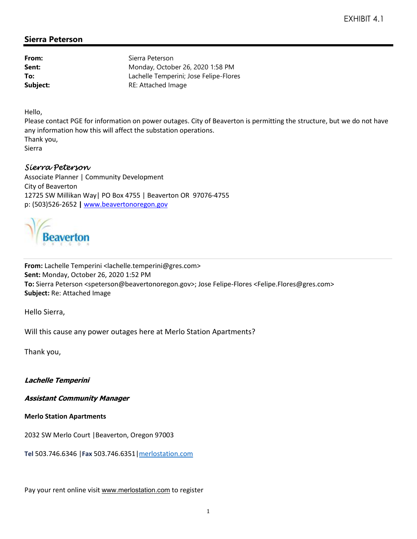## **Sierra Peterson**

| Sierra Peterson                        |
|----------------------------------------|
| Monday, October 26, 2020 1:58 PM       |
| Lachelle Temperini; Jose Felipe-Flores |
| RE: Attached Image                     |
|                                        |

Hello,

Please contact PGE for information on power outages. City of Beaverton is permitting the structure, but we do not have any information how this will affect the substation operations. Thank you,

Sierra

## Sierra Peterson

Associate Planner | Community Development City of Beaverton 12725 SW Millikan Way| PO Box 4755 | Beaverton OR 97076-4755 p: (503)526-2652 **|** www.beavertonoregon.gov



**From:** Lachelle Temperini <lachelle.temperini@gres.com> **Sent:** Monday, October 26, 2020 1:52 PM **To:** Sierra Peterson <speterson@beavertonoregon.gov>; Jose Felipe-Flores <Felipe.Flores@gres.com> **Subject:** Re: Attached Image

Hello Sierra,

Will this cause any power outages here at Merlo Station Apartments?

Thank you,

**Lachelle Temperini**

**Assistant Community Manager**

**Merlo Station Apartments**

2032 SW Merlo Court |Beaverton, Oregon 97003

**Tel** 503.746.6346 |**Fax** 503.746.6351|merlostation.com

Pay your rent online visit www.merlostation.com to register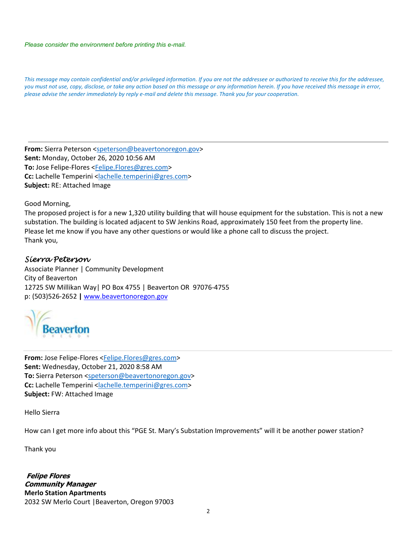*Please consider the environment before printing this e-mail.*

*This message may contain confidential and/or privileged information. If you are not the addressee or authorized to receive this for the addressee, you must not use, copy, disclose, or take any action based on this message or any information herein. If you have received this message in error, please advise the sender immediately by reply e-mail and delete this message. Thank you for your cooperation.*

From: Sierra Peterson <speterson@beavertonoregon.gov> **Sent:** Monday, October 26, 2020 10:56 AM **To:** Jose Felipe-Flores <Felipe.Flores@gres.com> **Cc:** Lachelle Temperini <lachelle.temperini@gres.com> **Subject:** RE: Attached Image

Good Morning,

The proposed project is for a new 1,320 utility building that will house equipment for the substation. This is not a new substation. The building is located adjacent to SW Jenkins Road, approximately 150 feet from the property line. Please let me know if you have any other questions or would like a phone call to discuss the project. Thank you,

## Sierra Peterson

Associate Planner | Community Development City of Beaverton 12725 SW Millikan Way| PO Box 4755 | Beaverton OR 97076-4755 p: (503)526-2652 **|** www.beavertonoregon.gov



**From:** Jose Felipe-Flores <Felipe.Flores@gres.com> **Sent:** Wednesday, October 21, 2020 8:58 AM **To:** Sierra Peterson <speterson@beavertonoregon.gov> **Cc:** Lachelle Temperini <lachelle.temperini@gres.com> **Subject:** FW: Attached Image

Hello Sierra

How can I get more info about this "PGE St. Mary's Substation Improvements" will it be another power station?

Thank you

 **Felipe Flores Community Manager Merlo Station Apartments** 2032 SW Merlo Court |Beaverton, Oregon 97003